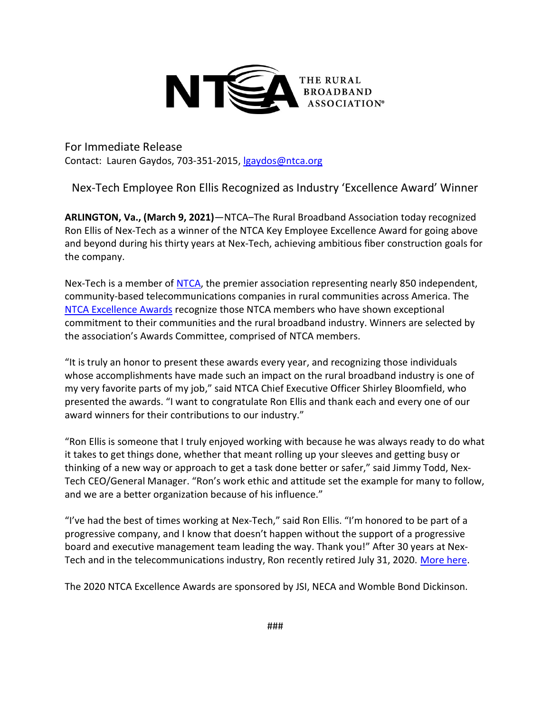

For Immediate Release Contact: Lauren Gaydos, 703-351-2015, lgaydos@ntca.org

Nex-Tech Employee Ron Ellis Recognized as Industry 'Excellence Award' Winner

ARLINGTON, Va., (March 9, 2021)—NTCA–The Rural Broadband Association today recognized Ron Ellis of Nex-Tech as a winner of the NTCA Key Employee Excellence Award for going above and beyond during his thirty years at Nex-Tech, achieving ambitious fiber construction goals for the company.

Nex-Tech is a member of NTCA, the premier association representing nearly 850 independent, community-based telecommunications companies in rural communities across America. The NTCA Excellence Awards recognize those NTCA members who have shown exceptional commitment to their communities and the rural broadband industry. Winners are selected by the association's Awards Committee, comprised of NTCA members.

"It is truly an honor to present these awards every year, and recognizing those individuals whose accomplishments have made such an impact on the rural broadband industry is one of my very favorite parts of my job," said NTCA Chief Executive Officer Shirley Bloomfield, who presented the awards. "I want to congratulate Ron Ellis and thank each and every one of our award winners for their contributions to our industry."

"Ron Ellis is someone that I truly enjoyed working with because he was always ready to do what it takes to get things done, whether that meant rolling up your sleeves and getting busy or thinking of a new way or approach to get a task done better or safer," said Jimmy Todd, Nex-Tech CEO/General Manager. "Ron's work ethic and attitude set the example for many to follow, and we are a better organization because of his influence."

"I've had the best of times working at Nex-Tech," said Ron Ellis. "I'm honored to be part of a progressive company, and I know that doesn't happen without the support of a progressive board and executive management team leading the way. Thank you!" After 30 years at Nex-Tech and in the telecommunications industry, Ron recently retired July 31, 2020. More here.

The 2020 NTCA Excellence Awards are sponsored by JSI, NECA and Womble Bond Dickinson.